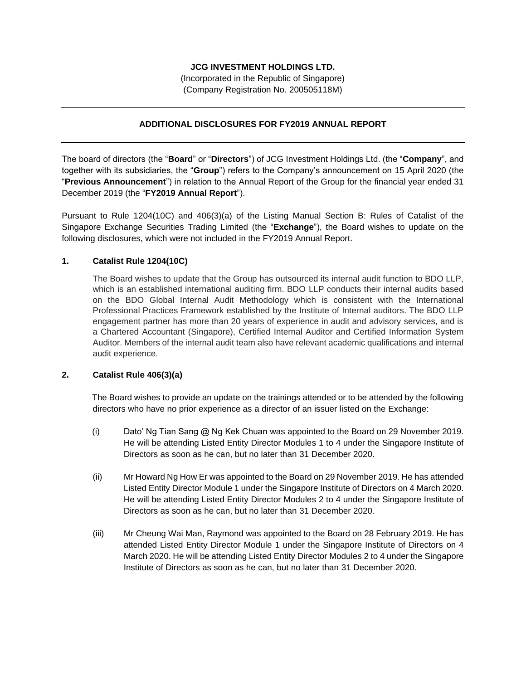# **JCG INVESTMENT HOLDINGS LTD.**

(Incorporated in the Republic of Singapore) (Company Registration No. 200505118M)

# **ADDITIONAL DISCLOSURES FOR FY2019 ANNUAL REPORT**

The board of directors (the "**Board**" or "**Directors**") of JCG Investment Holdings Ltd. (the "**Company**", and together with its subsidiaries, the "**Group**") refers to the Company's announcement on 15 April 2020 (the "**Previous Announcement**") in relation to the Annual Report of the Group for the financial year ended 31 December 2019 (the "**FY2019 Annual Report**").

Pursuant to Rule 1204(10C) and 406(3)(a) of the Listing Manual Section B: Rules of Catalist of the Singapore Exchange Securities Trading Limited (the "**Exchange**"), the Board wishes to update on the following disclosures, which were not included in the FY2019 Annual Report.

### **1. Catalist Rule 1204(10C)**

The Board wishes to update that the Group has outsourced its internal audit function to BDO LLP, which is an established international auditing firm. BDO LLP conducts their internal audits based on the BDO Global Internal Audit Methodology which is consistent with the International Professional Practices Framework established by the Institute of Internal auditors. The BDO LLP engagement partner has more than 20 years of experience in audit and advisory services, and is a Chartered Accountant (Singapore), Certified Internal Auditor and Certified Information System Auditor. Members of the internal audit team also have relevant academic qualifications and internal audit experience.

#### **2. Catalist Rule 406(3)(a)**

The Board wishes to provide an update on the trainings attended or to be attended by the following directors who have no prior experience as a director of an issuer listed on the Exchange:

- (i) Dato' Ng Tian Sang @ Ng Kek Chuan was appointed to the Board on 29 November 2019. He will be attending Listed Entity Director Modules 1 to 4 under the Singapore Institute of Directors as soon as he can, but no later than 31 December 2020.
- (ii) Mr Howard Ng How Er was appointed to the Board on 29 November 2019. He has attended Listed Entity Director Module 1 under the Singapore Institute of Directors on 4 March 2020. He will be attending Listed Entity Director Modules 2 to 4 under the Singapore Institute of Directors as soon as he can, but no later than 31 December 2020.
- (iii) Mr Cheung Wai Man, Raymond was appointed to the Board on 28 February 2019. He has attended Listed Entity Director Module 1 under the Singapore Institute of Directors on 4 March 2020. He will be attending Listed Entity Director Modules 2 to 4 under the Singapore Institute of Directors as soon as he can, but no later than 31 December 2020.